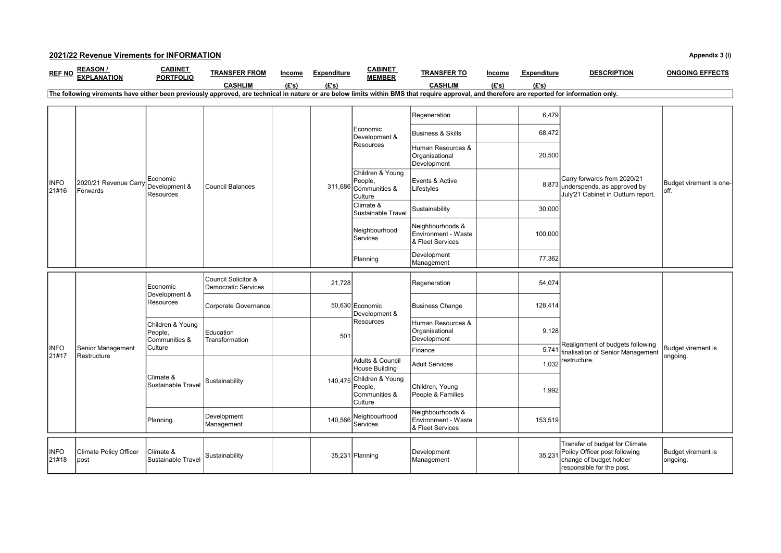## 2021/22 Revenue Virements for INFORMATION Appendix 3 (i)

| <b>REF NO</b>                                                                                                                                                                                | <b>REASON/</b><br><b>EXPLANATION</b>  | <b>CABINET</b><br><b>PORTFOLIO</b>                      | <b>TRANSFER FROM</b>                              | Income | <b>Expenditure</b> | <b>CABINET</b><br><b>MEMBER</b>                                 | <b>TRANSFER TO</b>                                          | Income | <b>Expenditure</b> | <b>DESCRIPTION</b>                                                                                                      | <b>ONGOING EFFECTS</b>           |
|----------------------------------------------------------------------------------------------------------------------------------------------------------------------------------------------|---------------------------------------|---------------------------------------------------------|---------------------------------------------------|--------|--------------------|-----------------------------------------------------------------|-------------------------------------------------------------|--------|--------------------|-------------------------------------------------------------------------------------------------------------------------|----------------------------------|
|                                                                                                                                                                                              |                                       |                                                         | <b>CASHLIM</b>                                    | (E's)  | (E's)              |                                                                 | <b>CASHLIM</b>                                              | (E's)  | (E's)              |                                                                                                                         |                                  |
| The following virements have either been previously approved, are technical in nature or are below limits within BMS that require approval, and therefore are reported for information only. |                                       |                                                         |                                                   |        |                    |                                                                 |                                                             |        |                    |                                                                                                                         |                                  |
|                                                                                                                                                                                              |                                       |                                                         |                                                   |        |                    |                                                                 |                                                             |        |                    |                                                                                                                         |                                  |
| <b>INFO</b><br>21#16                                                                                                                                                                         | 2020/21 Revenue Carry<br>Forwards     | Economic<br>Development &<br>Resources                  | <b>Council Balances</b>                           |        |                    | <b>IEconomic</b><br>Development &<br>Resources                  | Regeneration                                                |        | 6,479              | Carry forwards from 2020/21<br>8,873 underspends, as approved by<br>July'21 Cabinet in Outturn report.                  | Budget virement is one-<br>loff. |
|                                                                                                                                                                                              |                                       |                                                         |                                                   |        |                    |                                                                 | <b>Business &amp; Skills</b>                                |        | 68,472             |                                                                                                                         |                                  |
|                                                                                                                                                                                              |                                       |                                                         |                                                   |        |                    |                                                                 | Human Resources &<br>Organisational<br>Development          |        | 20,500             |                                                                                                                         |                                  |
|                                                                                                                                                                                              |                                       |                                                         |                                                   |        |                    | Children & Young<br>People,<br>311,686 Communities &<br>Culture | Events & Active<br>Lifestyles                               |        |                    |                                                                                                                         |                                  |
|                                                                                                                                                                                              |                                       |                                                         |                                                   |        |                    | Climate &<br>Sustainable Travel                                 | Sustainability                                              |        | 30,000             |                                                                                                                         |                                  |
|                                                                                                                                                                                              |                                       |                                                         |                                                   |        |                    | Neighbourhood<br>Services                                       | Neighbourhoods &<br>Environment - Waste<br>& Fleet Services |        | 100,000            |                                                                                                                         |                                  |
|                                                                                                                                                                                              |                                       |                                                         |                                                   |        |                    | Planning                                                        | Development<br>Management                                   |        | 77,362             |                                                                                                                         |                                  |
|                                                                                                                                                                                              | Senior Management<br>Restructure      | Economic<br>Development &<br>Resources                  | Council Solicitor &<br><b>Democratic Services</b> |        | 21,728             | 50,630 Economic<br>Development &<br><b>Resources</b>            | Regeneration                                                |        | 54,074             | Realignment of budgets following<br>finalisation of Senior Management<br>restructure.                                   | Budget virement is<br>ongoing.   |
|                                                                                                                                                                                              |                                       |                                                         | Corporate Governance                              |        |                    |                                                                 | <b>Business Change</b>                                      |        | 128,414            |                                                                                                                         |                                  |
|                                                                                                                                                                                              |                                       | Children & Young<br>People,<br>Communities &<br>Culture | Education<br>Transformation                       |        | 501                |                                                                 | Human Resources &<br>Organisational<br>Development          |        | 9,128              |                                                                                                                         |                                  |
| <b>INFO</b>                                                                                                                                                                                  |                                       |                                                         |                                                   |        |                    |                                                                 | Finance                                                     |        | 5,74               |                                                                                                                         |                                  |
| 21#17                                                                                                                                                                                        |                                       | Climate &<br>Sustainable Travel                         | Sustainability                                    |        |                    | Adults & Council<br><b>House Building</b>                       | <b>Adult Services</b>                                       |        | 1,032              |                                                                                                                         |                                  |
|                                                                                                                                                                                              |                                       |                                                         |                                                   |        |                    | 140,475 Children & Young<br>People.<br>Communities &<br>Culture | Children, Young<br>People & Families                        |        | 1,992              |                                                                                                                         |                                  |
|                                                                                                                                                                                              |                                       | Planning                                                | Development<br>Management                         |        | 140,566            | Neighbourhood<br>Services                                       | Neighbourhoods &<br>Environment - Waste<br>& Fleet Services |        | 153,519            |                                                                                                                         |                                  |
| <b>INFO</b><br>21#18                                                                                                                                                                         | <b>Climate Policy Officer</b><br>post | Climate &<br>Sustainable Travel                         | Sustainability                                    |        |                    | 35,231 Planning                                                 | Development<br>Management                                   |        | 35,231             | Transfer of budget for Climate<br>Policy Officer post following<br>change of budget holder<br>responsible for the post. | Budget virement is<br>ongoing.   |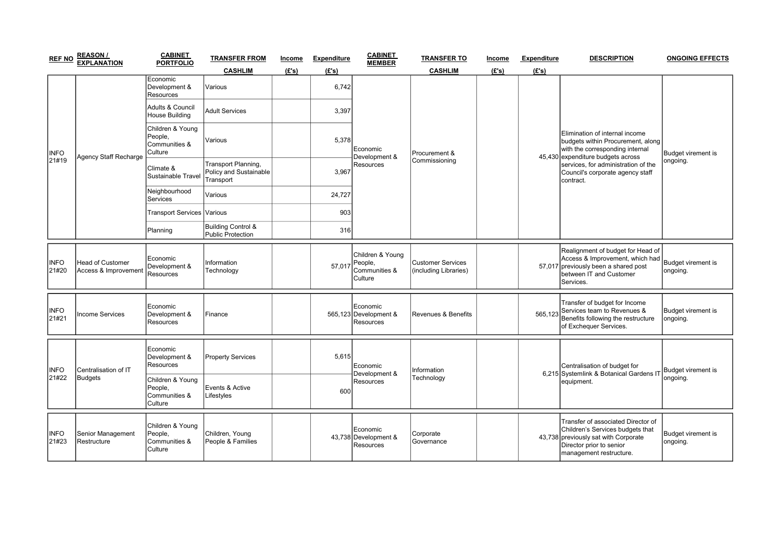| <b>REF NO</b>        | <b>REASON/</b><br><b>EXPLANATION</b>            | <b>CABINET</b><br><b>PORTFOLIO</b>                      | <b>TRANSFER FROM</b>                                       | Income | <b>Expenditure</b> | <b>CABINET</b><br><b>MEMBER</b>                         | <b>TRANSFER TO</b>                                | Income | <b>Expenditure</b> | <b>DESCRIPTION</b>                                                                                                                                                                                                                  | <b>ONGOING EFFECTS</b>                |
|----------------------|-------------------------------------------------|---------------------------------------------------------|------------------------------------------------------------|--------|--------------------|---------------------------------------------------------|---------------------------------------------------|--------|--------------------|-------------------------------------------------------------------------------------------------------------------------------------------------------------------------------------------------------------------------------------|---------------------------------------|
|                      |                                                 |                                                         | <b>CASHLIM</b>                                             | (E's)  | (E's)              |                                                         | <b>CASHLIM</b>                                    | (E's)  | (E's)              |                                                                                                                                                                                                                                     |                                       |
| <b>INFO</b><br>21#19 | Agency Staff Recharge                           | Economic<br>Development &<br>Resources                  | Various                                                    |        | 6,742              | Economic<br>Development &<br>Resources                  | Procurement &<br>Commissioning                    |        |                    | Elimination of internal income<br>budgets within Procurement, along<br>with the corresponding internal<br>45,430 expenditure budgets across<br>services, for administration of the<br>Council's corporate agency staff<br>contract. | Budget virement is<br>ongoing.        |
|                      |                                                 | Adults & Council<br><b>House Building</b>               | <b>Adult Services</b>                                      |        | 3,397              |                                                         |                                                   |        |                    |                                                                                                                                                                                                                                     |                                       |
|                      |                                                 | Children & Young<br>People,<br>Communities &<br>Culture | Various                                                    |        | 5,378              |                                                         |                                                   |        |                    |                                                                                                                                                                                                                                     |                                       |
|                      |                                                 | Climate &<br>Sustainable Travel                         | Transport Planning,<br>Policy and Sustainable<br>Transport |        | 3,967              |                                                         |                                                   |        |                    |                                                                                                                                                                                                                                     |                                       |
|                      |                                                 | Neighbourhood<br><b>Services</b>                        | Various                                                    |        | 24,727             |                                                         |                                                   |        |                    |                                                                                                                                                                                                                                     |                                       |
|                      |                                                 | Transport Services Various                              |                                                            |        | 903                |                                                         |                                                   |        |                    |                                                                                                                                                                                                                                     |                                       |
|                      |                                                 | Planning                                                | Building Control &<br><b>Public Protection</b>             |        | 316                |                                                         |                                                   |        |                    |                                                                                                                                                                                                                                     |                                       |
| <b>INFO</b><br>21#20 | <b>Head of Customer</b><br>Access & Improvement | Economic<br>Development &<br>Resources                  | Information<br>Technology                                  |        | 57.017             | Children & Young<br>People.<br>Communities &<br>Culture | <b>Customer Services</b><br>(including Libraries) |        |                    | Realignment of budget for Head of<br>Access & Improvement, which had<br>57,017 previously been a shared post<br>between IT and Customer<br>Services.                                                                                | Budget virement is<br>ongoing.        |
| <b>INFO</b><br>21#21 | ncome Services                                  | Economic<br>Development &<br>Resources                  | Finance                                                    |        |                    | Economic<br>565,123 Development &<br>Resources          | Revenues & Benefits                               |        |                    | Transfer of budget for Income<br>565,123 Services team to Revenues &<br>Benefits following the restructure<br>of Exchequer Services.                                                                                                | <b>Budget virement is</b><br>ongoing. |
| <b>INFO</b><br>21#22 | Centralisation of IT<br>Budgets                 | Economic<br>Development &<br>Resources                  | <b>Property Services</b>                                   |        | 5,615              | Economic<br>Development &<br>Resources                  | Information<br>Technology                         |        |                    | Centralisation of budget for<br>6,215 Systemlink & Botanical Gardens IT<br>equipment.                                                                                                                                               | Budget virement is<br>ongoing.        |
|                      |                                                 | Children & Young<br>People,<br>Communities &<br>Culture | Events & Active<br>Lifestyles                              |        | 600                |                                                         |                                                   |        |                    |                                                                                                                                                                                                                                     |                                       |
| <b>INFO</b><br>21#23 | Senior Management<br>Restructure                | Children & Young<br>People,<br>Communities &<br>Culture | Children, Young<br>People & Families                       |        |                    | Economic<br>43,738 Development &<br>Resources           | Corporate<br>Governance                           |        |                    | Transfer of associated Director of<br>Children's Services budgets that<br>43,738 previously sat with Corporate<br>Director prior to senior<br>management restructure.                                                               | Budget virement is<br>ongoing.        |